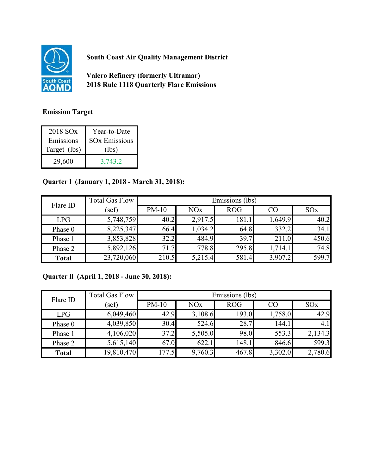

**South Coast Air Quality Management District**

**Valero Refinery (formerly Ultramar) 2018 Rule 1118 Quarterly Flare Emissions**

## **Emission Target**

| 2018 SO <sub>x</sub> | Year-to-Date                    |
|----------------------|---------------------------------|
| Emissions            | <b>SO<sub>x</sub></b> Emissions |
| Target (lbs)         | (lbs)                           |
| 29,600               | 3,743.2                         |

## **Quarter l (January 1, 2018 - March 31, 2018):**

| Flare ID     | <b>Total Gas Flow</b> | Emissions (lbs) |                       |            |         |                 |
|--------------|-----------------------|-----------------|-----------------------|------------|---------|-----------------|
|              | $(\mathrm{scf})$      | $PM-10$         | <b>NO<sub>x</sub></b> | <b>ROG</b> | CO      | SO <sub>x</sub> |
| LPG          | 5,748,759             | 40.2            | 2,917.5               | 181.1      | 1,649.9 | 40.2            |
| Phase 0      | 8,225,347             | 66.4            | 1,034.2               | 64.8       | 332.2   | 34.1            |
| Phase 1      | 3,853,828             | 32.2            | 484.9                 | 39.7       | 211.0   | 450.6           |
| Phase 2      | 5,892,126             | 71.7            | 778.8                 | 295.8      | 1,714.1 | 74.8            |
| <b>Total</b> | 23,720,060            | 210.5           | 5,215.4               | 581.4      | 3,907.2 | 599.7           |

## **Quarter ll (April 1, 2018 - June 30, 2018):**

| Flare ID     | <b>Total Gas Flow</b> | Emissions (lbs) |         |            |         |                 |
|--------------|-----------------------|-----------------|---------|------------|---------|-----------------|
|              | $(\mathrm{scf})$      | $PM-10$         | NOx     | <b>ROG</b> | CO      | SO <sub>x</sub> |
| <b>LPG</b>   | 6,049,460             | 42.9            | 3,108.6 | 193.0      | 1,758.0 | 42.9            |
| Phase 0      | 4,039,850             | 30.4            | 524.6   | 28.7       | 144.1   | 4.1             |
| Phase 1      | 4,106,020             | 37.2            | 5,505.0 | 98.0       | 553.3   | 2,134.3         |
| Phase 2      | 5,615,140             | 67.0            | 622.1   | 148.1      | 846.6   | 599.3           |
| <b>Total</b> | 19,810,470            | 177.5           | 9,760.3 | 467.8      | 3,302.0 | 2,780.6         |